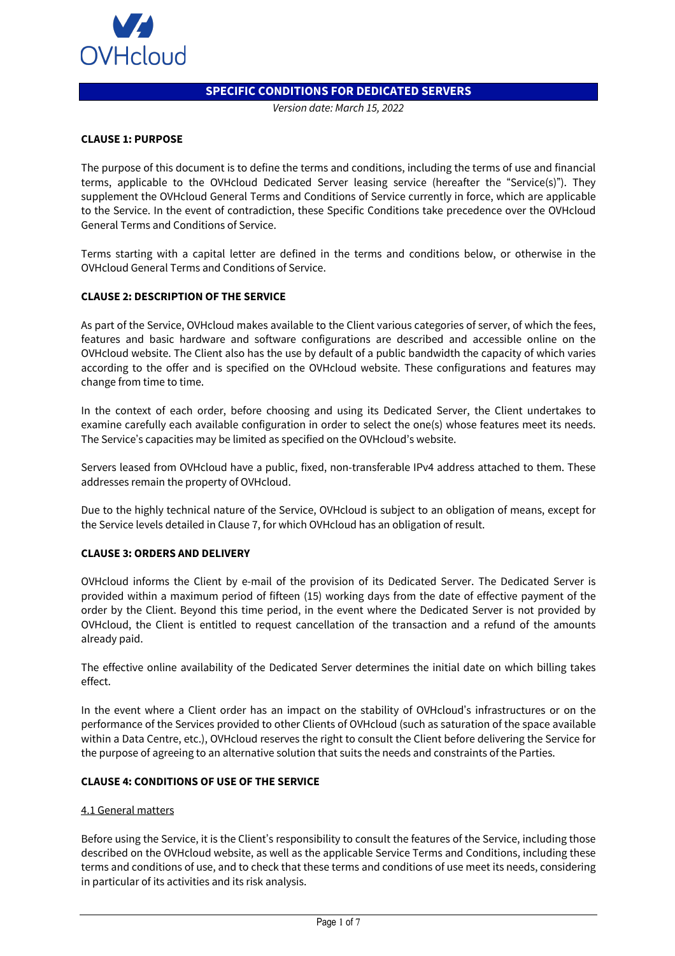

# **SPECIFIC CONDITIONS FOR DEDICATED SERVERS**

*Version date: March 15, 2022*

### **CLAUSE 1: PURPOSE**

The purpose of this document is to define the terms and conditions, including the terms of use and financial terms, applicable to the OVHcloud Dedicated Server leasing service (hereafter the "Service(s)"). They supplement the OVHcloud General Terms and Conditions of Service currently in force, which are applicable to the Service. In the event of contradiction, these Specific Conditions take precedence over the OVHcloud General Terms and Conditions of Service.

Terms starting with a capital letter are defined in the terms and conditions below, or otherwise in the OVHcloud General Terms and Conditions of Service.

### **CLAUSE 2: DESCRIPTION OF THE SERVICE**

As part of the Service, OVHcloud makes available to the Client various categories of server, of which the fees, features and basic hardware and software configurations are described and accessible online on the OVHcloud website. The Client also has the use by default of a public bandwidth the capacity of which varies according to the offer and is specified on the OVHcloud website. These configurations and features may change from time to time.

In the context of each order, before choosing and using its Dedicated Server, the Client undertakes to examine carefully each available configuration in order to select the one(s) whose features meet its needs. The Service's capacities may be limited as specified on the OVHcloud's website.

Servers leased from OVHcloud have a public, fixed, non-transferable IPv4 address attached to them. These addresses remain the property of OVHcloud.

Due to the highly technical nature of the Service, OVHcloud is subject to an obligation of means, except for the Service levels detailed in Clause 7, for which OVHcloud has an obligation of result.

## **CLAUSE 3: ORDERS AND DELIVERY**

OVHcloud informs the Client by e-mail of the provision of its Dedicated Server. The Dedicated Server is provided within a maximum period of fifteen (15) working days from the date of effective payment of the order by the Client. Beyond this time period, in the event where the Dedicated Server is not provided by OVHcloud, the Client is entitled to request cancellation of the transaction and a refund of the amounts already paid.

The effective online availability of the Dedicated Server determines the initial date on which billing takes effect.

In the event where a Client order has an impact on the stability of OVHcloud's infrastructures or on the performance of the Services provided to other Clients of OVHcloud (such as saturation of the space available within a Data Centre, etc.), OVHcloud reserves the right to consult the Client before delivering the Service for the purpose of agreeing to an alternative solution that suits the needs and constraints of the Parties.

### **CLAUSE 4: CONDITIONS OF USE OF THE SERVICE**

#### 4.1 General matters

Before using the Service, it is the Client's responsibility to consult the features of the Service, including those described on the OVHcloud website, as well as the applicable Service Terms and Conditions, including these terms and conditions of use, and to check that these terms and conditions of use meet its needs, considering in particular of its activities and its risk analysis.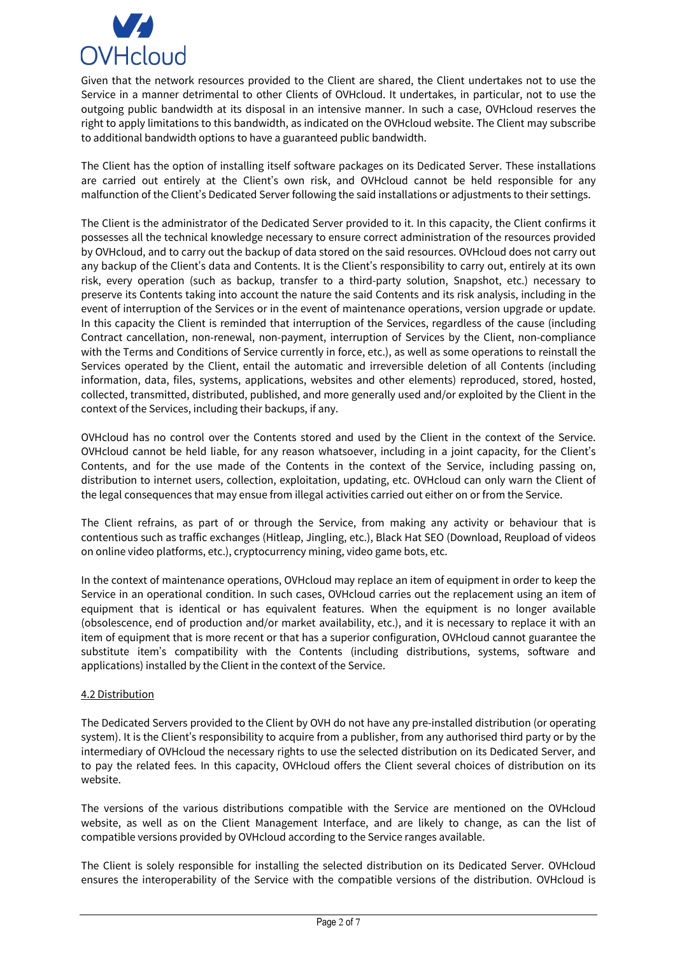

Given that the network resources provided to the Client are shared, the Client undertakes not to use the Service in a manner detrimental to other Clients of OVHcloud. It undertakes, in particular, not to use the outgoing public bandwidth at its disposal in an intensive manner. In such a case, OVHcloud reserves the right to apply limitations to this bandwidth, as indicated on the OVHcloud website. The Client may subscribe to additional bandwidth options to have a guaranteed public bandwidth.

The Client has the option of installing itself software packages on its Dedicated Server. These installations are carried out entirely at the Client's own risk, and OVHcloud cannot be held responsible for any malfunction of the Client's Dedicated Server following the said installations or adjustments to their settings.

The Client is the administrator of the Dedicated Server provided to it. In this capacity, the Client confirms it possesses all the technical knowledge necessary to ensure correct administration of the resources provided by OVHcloud, and to carry out the backup of data stored on the said resources. OVHcloud does not carry out any backup of the Client's data and Contents. It is the Client's responsibility to carry out, entirely at its own risk, every operation (such as backup, transfer to a third-party solution, Snapshot, etc.) necessary to preserve its Contents taking into account the nature the said Contents and its risk analysis, including in the event of interruption of the Services or in the event of maintenance operations, version upgrade or update. In this capacity the Client is reminded that interruption of the Services, regardless of the cause (including Contract cancellation, non-renewal, non-payment, interruption of Services by the Client, non-compliance with the Terms and Conditions of Service currently in force, etc.), as well as some operations to reinstall the Services operated by the Client, entail the automatic and irreversible deletion of all Contents (including information, data, files, systems, applications, websites and other elements) reproduced, stored, hosted, collected, transmitted, distributed, published, and more generally used and/or exploited by the Client in the context of the Services, including their backups, if any.

OVHcloud has no control over the Contents stored and used by the Client in the context of the Service. OVHcloud cannot be held liable, for any reason whatsoever, including in a joint capacity, for the Client's Contents, and for the use made of the Contents in the context of the Service, including passing on, distribution to internet users, collection, exploitation, updating, etc. OVHcloud can only warn the Client of the legal consequences that may ensue from illegal activities carried out either on or from the Service.

The Client refrains, as part of or through the Service, from making any activity or behaviour that is contentious such as traffic exchanges (Hitleap, Jingling, etc.), Black Hat SEO (Download, Reupload of videos on online video platforms, etc.), cryptocurrency mining, video game bots, etc.

In the context of maintenance operations, OVHcloud may replace an item of equipment in order to keep the Service in an operational condition. In such cases, OVHcloud carries out the replacement using an item of equipment that is identical or has equivalent features. When the equipment is no longer available (obsolescence, end of production and/or market availability, etc.), and it is necessary to replace it with an item of equipment that is more recent or that has a superior configuration, OVHcloud cannot guarantee the substitute item's compatibility with the Contents (including distributions, systems, software and applications) installed by the Client in the context of the Service.

## 4.2 Distribution

The Dedicated Servers provided to the Client by OVH do not have any pre-installed distribution (or operating system). It is the Client's responsibility to acquire from a publisher, from any authorised third party or by the intermediary of OVHcloud the necessary rights to use the selected distribution on its Dedicated Server, and to pay the related fees. In this capacity, OVHcloud offers the Client several choices of distribution on its website.

The versions of the various distributions compatible with the Service are mentioned on the OVHcloud website, as well as on the Client Management Interface, and are likely to change, as can the list of compatible versions provided by OVHcloud according to the Service ranges available.

The Client is solely responsible for installing the selected distribution on its Dedicated Server. OVHcloud ensures the interoperability of the Service with the compatible versions of the distribution. OVHcloud is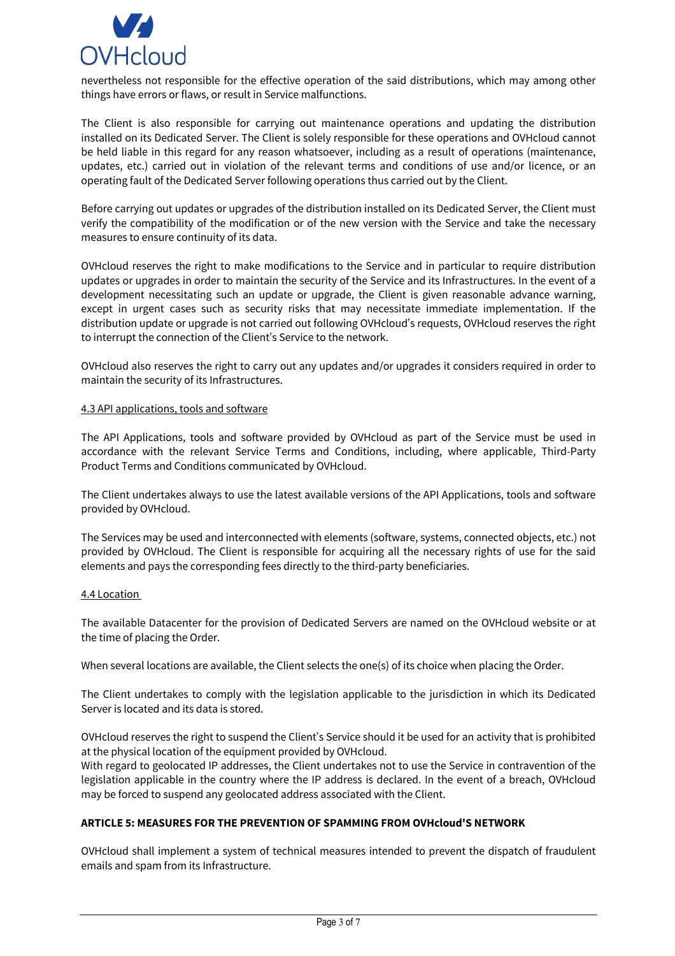

nevertheless not responsible for the effective operation of the said distributions, which may among other things have errors or flaws, or result in Service malfunctions.

The Client is also responsible for carrying out maintenance operations and updating the distribution installed on its Dedicated Server. The Client is solely responsible for these operations and OVHcloud cannot be held liable in this regard for any reason whatsoever, including as a result of operations (maintenance, updates, etc.) carried out in violation of the relevant terms and conditions of use and/or licence, or an operating fault of the Dedicated Server following operations thus carried out by the Client.

Before carrying out updates or upgrades of the distribution installed on its Dedicated Server, the Client must verify the compatibility of the modification or of the new version with the Service and take the necessary measures to ensure continuity of its data.

OVHcloud reserves the right to make modifications to the Service and in particular to require distribution updates or upgrades in order to maintain the security of the Service and its Infrastructures. In the event of a development necessitating such an update or upgrade, the Client is given reasonable advance warning, except in urgent cases such as security risks that may necessitate immediate implementation. If the distribution update or upgrade is not carried out following OVHcloud's requests, OVHcloud reserves the right to interrupt the connection of the Client's Service to the network.

OVHcloud also reserves the right to carry out any updates and/or upgrades it considers required in order to maintain the security of its Infrastructures.

### 4.3 API applications, tools and software

The API Applications, tools and software provided by OVHcloud as part of the Service must be used in accordance with the relevant Service Terms and Conditions, including, where applicable, Third-Party Product Terms and Conditions communicated by OVHcloud.

The Client undertakes always to use the latest available versions of the API Applications, tools and software provided by OVHcloud.

The Services may be used and interconnected with elements (software, systems, connected objects, etc.) not provided by OVHcloud. The Client is responsible for acquiring all the necessary rights of use for the said elements and pays the corresponding fees directly to the third-party beneficiaries.

#### 4.4 Location

The available Datacenter for the provision of Dedicated Servers are named on the OVHcloud website or at the time of placing the Order.

When several locations are available, the Client selects the one(s) of its choice when placing the Order.

The Client undertakes to comply with the legislation applicable to the jurisdiction in which its Dedicated Server is located and its data is stored.

OVHcloud reserves the right to suspend the Client's Service should it be used for an activity that is prohibited at the physical location of the equipment provided by OVHcloud.

With regard to geolocated IP addresses, the Client undertakes not to use the Service in contravention of the legislation applicable in the country where the IP address is declared. In the event of a breach, OVHcloud may be forced to suspend any geolocated address associated with the Client.

#### **ARTICLE 5: MEASURES FOR THE PREVENTION OF SPAMMING FROM OVHcloud'S NETWORK**

OVHcloud shall implement a system of technical measures intended to prevent the dispatch of fraudulent emails and spam from its Infrastructure.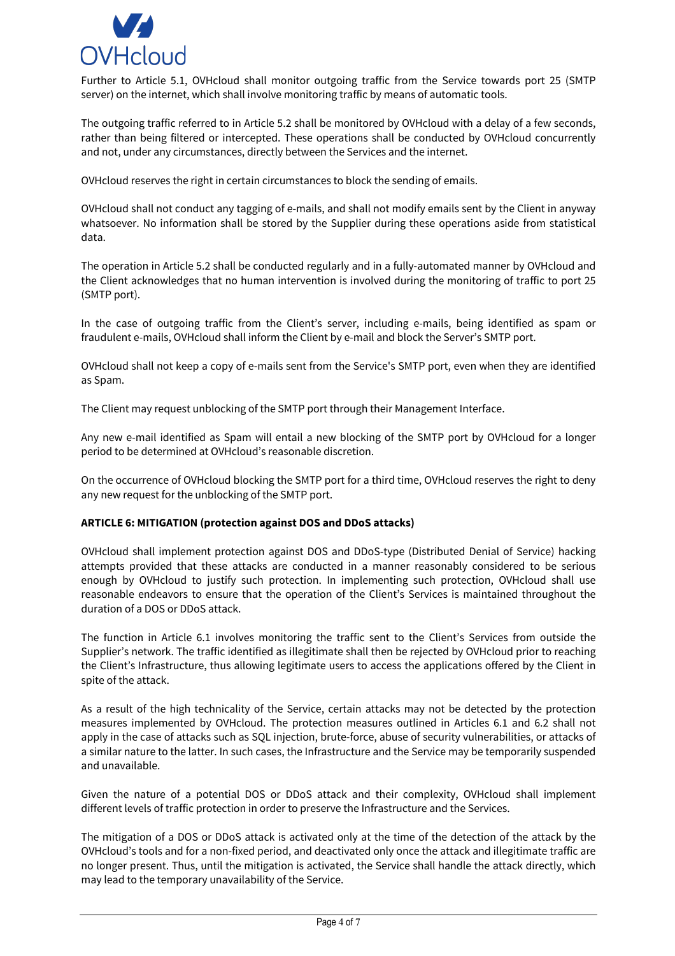

Further to Article 5.1, OVHcloud shall monitor outgoing traffic from the Service towards port 25 (SMTP server) on the internet, which shall involve monitoring traffic by means of automatic tools.

The outgoing traffic referred to in Article 5.2 shall be monitored by OVHcloud with a delay of a few seconds, rather than being filtered or intercepted. These operations shall be conducted by OVHcloud concurrently and not, under any circumstances, directly between the Services and the internet.

OVHcloud reserves the right in certain circumstances to block the sending of emails.

OVHcloud shall not conduct any tagging of e-mails, and shall not modify emails sent by the Client in anyway whatsoever. No information shall be stored by the Supplier during these operations aside from statistical data.

The operation in Article 5.2 shall be conducted regularly and in a fully-automated manner by OVHcloud and the Client acknowledges that no human intervention is involved during the monitoring of traffic to port 25 (SMTP port).

In the case of outgoing traffic from the Client's server, including e-mails, being identified as spam or fraudulent e-mails, OVHcloud shall inform the Client by e-mail and block the Server's SMTP port.

OVHcloud shall not keep a copy of e-mails sent from the Service's SMTP port, even when they are identified as Spam.

The Client may request unblocking of the SMTP port through their Management Interface.

Any new e-mail identified as Spam will entail a new blocking of the SMTP port by OVHcloud for a longer period to be determined at OVHcloud's reasonable discretion.

On the occurrence of OVHcloud blocking the SMTP port for a third time, OVHcloud reserves the right to deny any new request for the unblocking of the SMTP port.

## **ARTICLE 6: MITIGATION (protection against DOS and DDoS attacks)**

OVHcloud shall implement protection against DOS and DDoS-type (Distributed Denial of Service) hacking attempts provided that these attacks are conducted in a manner reasonably considered to be serious enough by OVHcloud to justify such protection. In implementing such protection, OVHcloud shall use reasonable endeavors to ensure that the operation of the Client's Services is maintained throughout the duration of a DOS or DDoS attack.

The function in Article 6.1 involves monitoring the traffic sent to the Client's Services from outside the Supplier's network. The traffic identified as illegitimate shall then be rejected by OVHcloud prior to reaching the Client's Infrastructure, thus allowing legitimate users to access the applications offered by the Client in spite of the attack.

As a result of the high technicality of the Service, certain attacks may not be detected by the protection measures implemented by OVHcloud. The protection measures outlined in Articles 6.1 and 6.2 shall not apply in the case of attacks such as SQL injection, brute-force, abuse of security vulnerabilities, or attacks of a similar nature to the latter. In such cases, the Infrastructure and the Service may be temporarily suspended and unavailable.

Given the nature of a potential DOS or DDoS attack and their complexity, OVHcloud shall implement different levels of traffic protection in order to preserve the Infrastructure and the Services.

The mitigation of a DOS or DDoS attack is activated only at the time of the detection of the attack by the OVHcloud's tools and for a non-fixed period, and deactivated only once the attack and illegitimate traffic are no longer present. Thus, until the mitigation is activated, the Service shall handle the attack directly, which may lead to the temporary unavailability of the Service.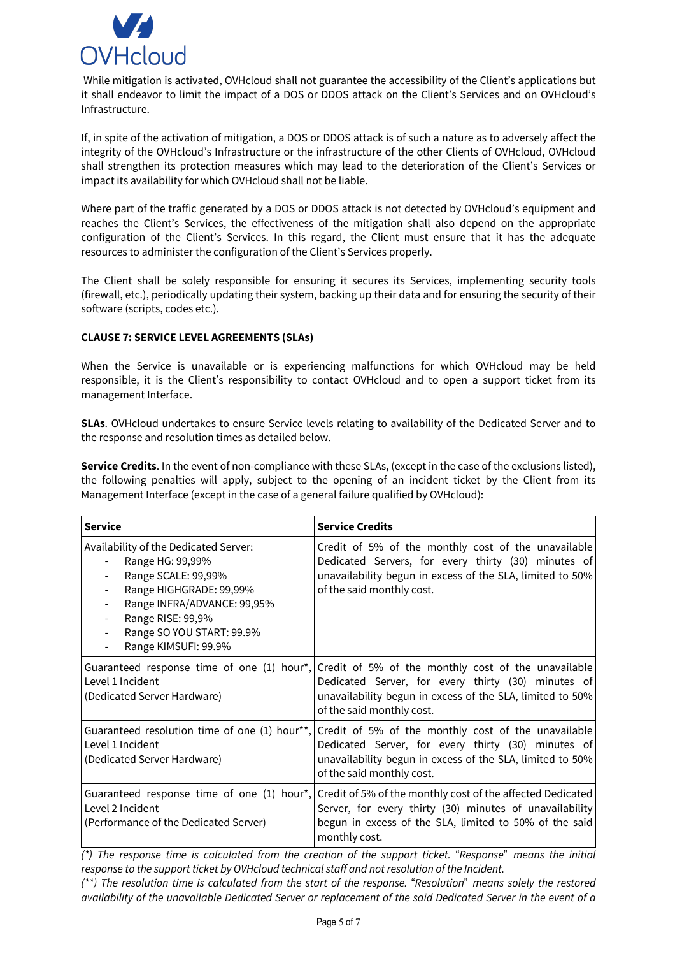

While mitigation is activated, OVHcloud shall not guarantee the accessibility of the Client's applications but it shall endeavor to limit the impact of a DOS or DDOS attack on the Client's Services and on OVHcloud's Infrastructure.

If, in spite of the activation of mitigation, a DOS or DDOS attack is of such a nature as to adversely affect the integrity of the OVHcloud's Infrastructure or the infrastructure of the other Clients of OVHcloud, OVHcloud shall strengthen its protection measures which may lead to the deterioration of the Client's Services or impact its availability for which OVHcloud shall not be liable.

Where part of the traffic generated by a DOS or DDOS attack is not detected by OVHcloud's equipment and reaches the Client's Services, the effectiveness of the mitigation shall also depend on the appropriate configuration of the Client's Services. In this regard, the Client must ensure that it has the adequate resources to administer the configuration of the Client's Services properly.

The Client shall be solely responsible for ensuring it secures its Services, implementing security tools (firewall, etc.), periodically updating their system, backing up their data and for ensuring the security of their software (scripts, codes etc.).

## **CLAUSE 7: SERVICE LEVEL AGREEMENTS (SLAs)**

When the Service is unavailable or is experiencing malfunctions for which OVHcloud may be held responsible, it is the Client's responsibility to contact OVHcloud and to open a support ticket from its management Interface.

**SLAs**. OVHcloud undertakes to ensure Service levels relating to availability of the Dedicated Server and to the response and resolution times as detailed below.

**Service Credits**. In the event of non-compliance with these SLAs, (except in the case of the exclusions listed), the following penalties will apply, subject to the opening of an incident ticket by the Client from its Management Interface (except in the case of a general failure qualified by OVHcloud):

| <b>Service</b>                                                                                                                                                                                                                                                                                                                       | <b>Service Credits</b>                                                                                                                                                                               |
|--------------------------------------------------------------------------------------------------------------------------------------------------------------------------------------------------------------------------------------------------------------------------------------------------------------------------------------|------------------------------------------------------------------------------------------------------------------------------------------------------------------------------------------------------|
| Availability of the Dedicated Server:<br>Range HG: 99,99%<br>Range SCALE: 99,99%<br>Range HIGHGRADE: 99,99%<br>$\overline{\phantom{a}}$<br>Range INFRA/ADVANCE: 99,95%<br>$\overline{\phantom{a}}$<br>Range RISE: 99,9%<br>$\overline{\phantom{a}}$<br>Range SO YOU START: 99.9%<br>$\overline{\phantom{a}}$<br>Range KIMSUFI: 99.9% | Credit of 5% of the monthly cost of the unavailable<br>Dedicated Servers, for every thirty (30) minutes of<br>unavailability begun in excess of the SLA, limited to 50%<br>of the said monthly cost. |
| Guaranteed response time of one (1) hour*,<br>Level 1 Incident<br>(Dedicated Server Hardware)                                                                                                                                                                                                                                        | Credit of 5% of the monthly cost of the unavailable<br>Dedicated Server, for every thirty (30) minutes of<br>unavailability begun in excess of the SLA, limited to 50%<br>of the said monthly cost.  |
| Guaranteed resolution time of one (1) hour**,<br>Level 1 Incident<br>(Dedicated Server Hardware)                                                                                                                                                                                                                                     | Credit of 5% of the monthly cost of the unavailable<br>Dedicated Server, for every thirty (30) minutes of<br>unavailability begun in excess of the SLA, limited to 50%<br>of the said monthly cost.  |
| Guaranteed response time of one (1) hour*,<br>Level 2 Incident<br>(Performance of the Dedicated Server)                                                                                                                                                                                                                              | Credit of 5% of the monthly cost of the affected Dedicated<br>Server, for every thirty (30) minutes of unavailability<br>begun in excess of the SLA, limited to 50% of the said<br>monthly cost.     |

*(\*) The response time is calculated from the creation of the support ticket.* "*Response*" *means the initial response to the support ticket by OVHcloud technical staff and not resolution of the Incident.*

*(\*\*) The resolution time is calculated from the start of the response.* "*Resolution*" *means solely the restored availability of the unavailable Dedicated Server or replacement of the said Dedicated Server in the event of a*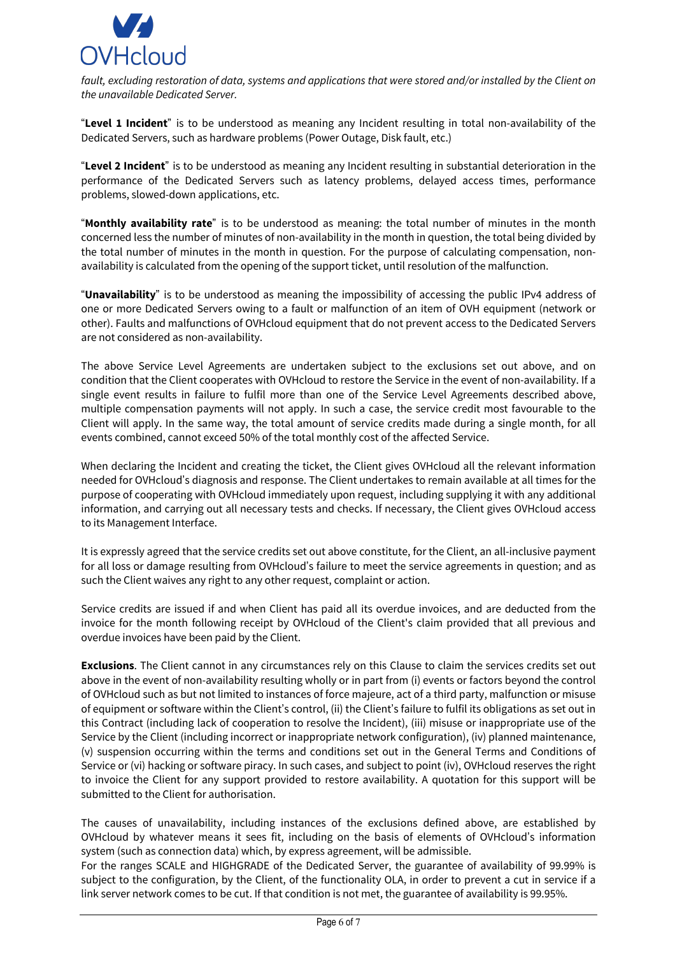

*fault, excluding restoration of data, systems and applications that were stored and/or installed by the Client on the unavailable Dedicated Server.*

"**Level 1 Incident**" is to be understood as meaning any Incident resulting in total non-availability of the Dedicated Servers, such as hardware problems (Power Outage, Disk fault, etc.)

"**Level 2 Incident**" is to be understood as meaning any Incident resulting in substantial deterioration in the performance of the Dedicated Servers such as latency problems, delayed access times, performance problems, slowed-down applications, etc.

"**Monthly availability rate**" is to be understood as meaning: the total number of minutes in the month concerned less the number of minutes of non-availability in the month in question, the total being divided by the total number of minutes in the month in question. For the purpose of calculating compensation, nonavailability is calculated from the opening of the support ticket, until resolution of the malfunction.

"**Unavailability**" is to be understood as meaning the impossibility of accessing the public IPv4 address of one or more Dedicated Servers owing to a fault or malfunction of an item of OVH equipment (network or other). Faults and malfunctions of OVHcloud equipment that do not prevent access to the Dedicated Servers are not considered as non-availability.

The above Service Level Agreements are undertaken subject to the exclusions set out above, and on condition that the Client cooperates with OVHcloud to restore the Service in the event of non-availability. If a single event results in failure to fulfil more than one of the Service Level Agreements described above, multiple compensation payments will not apply. In such a case, the service credit most favourable to the Client will apply. In the same way, the total amount of service credits made during a single month, for all events combined, cannot exceed 50% of the total monthly cost of the affected Service.

When declaring the Incident and creating the ticket, the Client gives OVHcloud all the relevant information needed for OVHcloud's diagnosis and response. The Client undertakes to remain available at all times for the purpose of cooperating with OVHcloud immediately upon request, including supplying it with any additional information, and carrying out all necessary tests and checks. If necessary, the Client gives OVHcloud access to its Management Interface.

It is expressly agreed that the service credits set out above constitute, for the Client, an all-inclusive payment for all loss or damage resulting from OVHcloud's failure to meet the service agreements in question; and as such the Client waives any right to any other request, complaint or action.

Service credits are issued if and when Client has paid all its overdue invoices, and are deducted from the invoice for the month following receipt by OVHcloud of the Client's claim provided that all previous and overdue invoices have been paid by the Client.

**Exclusions**. The Client cannot in any circumstances rely on this Clause to claim the services credits set out above in the event of non-availability resulting wholly or in part from (i) events or factors beyond the control of OVHcloud such as but not limited to instances of force majeure, act of a third party, malfunction or misuse of equipment or software within the Client's control, (ii) the Client's failure to fulfil its obligations as set out in this Contract (including lack of cooperation to resolve the Incident), (iii) misuse or inappropriate use of the Service by the Client (including incorrect or inappropriate network configuration), (iv) planned maintenance, (v) suspension occurring within the terms and conditions set out in the General Terms and Conditions of Service or (vi) hacking or software piracy. In such cases, and subject to point (iv), OVHcloud reserves the right to invoice the Client for any support provided to restore availability. A quotation for this support will be submitted to the Client for authorisation.

The causes of unavailability, including instances of the exclusions defined above, are established by OVHcloud by whatever means it sees fit, including on the basis of elements of OVHcloud's information system (such as connection data) which, by express agreement, will be admissible.

For the ranges SCALE and HIGHGRADE of the Dedicated Server, the guarantee of availability of 99.99% is subject to the configuration, by the Client, of the functionality OLA, in order to prevent a cut in service if a link server network comes to be cut. If that condition is not met, the guarantee of availability is 99.95%.